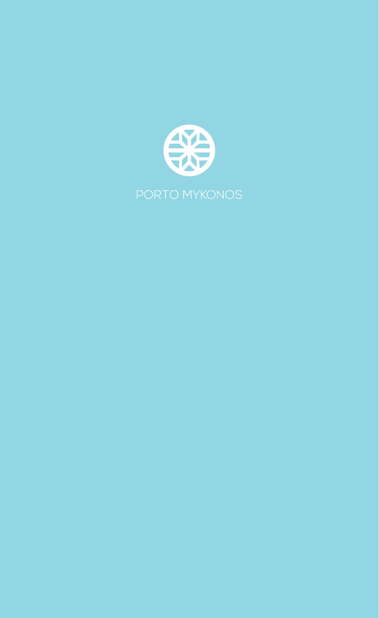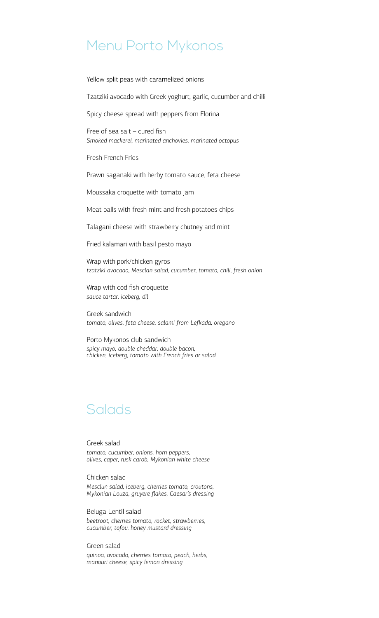# Menu Porto Mykonos

Yellow split peas with caramelized onions

Tzatziki avocado with Greek yoghurt, garlic, cucumber and chilli

Spicy cheese spread with peppers from Florina

Free of sea salt – cured fish *Smoked mackerel, marinated anchovies, marinated octopus*

Fresh French Fries

Prawn saganaki with herby tomato sauce, feta cheese

Moussaka croquette with tomato jam

Meat balls with fresh mint and fresh potatoes chips

Talagani cheese with strawberry chutney and mint

Fried kalamari with basil pesto mayo

Wrap with pork/chicken gyros *tzatziki avocado, Mesclan salad, cucumber, tomato, chili, fresh onion*

Wrap with cod fish croquette *sauce tartar, iceberg, dil*

Greek sandwich *tomato, olives, feta cheese, salami from Lefkada, oregano*

Porto Mykonos club sandwich *spicy mayo, double cheddar, double bacon, chicken, iceberg, tomato with French fries or salad*

# **Salads**

Greek salad *tomato, cucumber, onions, horn peppers, olives, caper, rusk carob, Mykonian white cheese*

Chicken salad *Mesclun salad, iceberg, cherries tomato, croutons, Mykonian Louza, gruyere flakes, Caesar's dressing*

Beluga Lentil salad *beetroot, cherries tomato, rocket, strawberries, cucumber, tofou, honey mustard dressing*

#### Green salad

*quinoa, avocado, cherries tomato, peach, herbs, manouri cheese, spicy lemon dressing*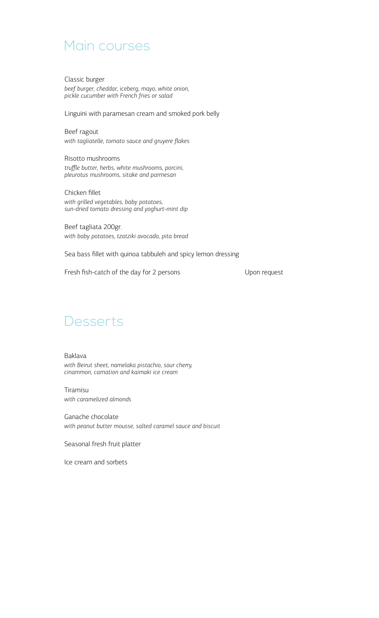## Main courses

Classic burger *beef burger, cheddar, iceberg, mayo, white onion, pickle cucumber with French fries or salad*

Linguini with paramesan cream and smoked pork belly

Beef ragout *with tagliatelle, tomato sauce and gruyere flakes*

Risotto mushrooms *truffle butter, herbs, white mushrooms, porcini, pleurotus mushrooms, sitake and parmesan*

Chicken fillet *with grilled vegetables, baby potatoes, sun-dried tomato dressing and yoghurt-mint dip*

Beef tagliata 200gr. *with baby potatoes, tzatziki avocado, pita bread*

Sea bass fillet with quinoa tabbuleh and spicy lemon dressing

Fresh fish-catch of the day for 2 persons Upon request

### **Desserts**

Baklava *with Beirut sheet, namelaka pistachio, sour cherry, cinammon, carnation and kaimaki ice cream*

Tiramisu *with caramelized almonds*

Ganache chocolate *with peanut butter mousse, salted caramel sauce and biscuit*

Seasonal fresh fruit platter

Ice cream and sorbets